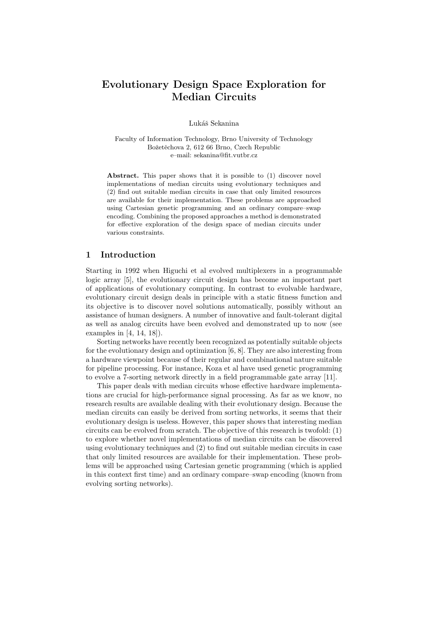# Evolutionary Design Space Exploration for Median Circuits

Lukáš Sekanina

Faculty of Information Technology, Brno University of Technology Božetěchova 2, 612 66 Brno, Czech Republic e–mail: sekanina@fit.vutbr.cz

Abstract. This paper shows that it is possible to (1) discover novel implementations of median circuits using evolutionary techniques and (2) find out suitable median circuits in case that only limited resources are available for their implementation. These problems are approached using Cartesian genetic programming and an ordinary compare–swap encoding. Combining the proposed approaches a method is demonstrated for effective exploration of the design space of median circuits under various constraints.

### 1 Introduction

Starting in 1992 when Higuchi et al evolved multiplexers in a programmable logic array [5], the evolutionary circuit design has become an important part of applications of evolutionary computing. In contrast to evolvable hardware, evolutionary circuit design deals in principle with a static fitness function and its objective is to discover novel solutions automatically, possibly without an assistance of human designers. A number of innovative and fault-tolerant digital as well as analog circuits have been evolved and demonstrated up to now (see examples in [4, 14, 18]).

Sorting networks have recently been recognized as potentially suitable objects for the evolutionary design and optimization [6, 8]. They are also interesting from a hardware viewpoint because of their regular and combinational nature suitable for pipeline processing. For instance, Koza et al have used genetic programming to evolve a 7-sorting network directly in a field programmable gate array [11].

This paper deals with median circuits whose effective hardware implementations are crucial for high-performance signal processing. As far as we know, no research results are available dealing with their evolutionary design. Because the median circuits can easily be derived from sorting networks, it seems that their evolutionary design is useless. However, this paper shows that interesting median circuits can be evolved from scratch. The objective of this research is twofold: (1) to explore whether novel implementations of median circuits can be discovered using evolutionary techniques and (2) to find out suitable median circuits in case that only limited resources are available for their implementation. These problems will be approached using Cartesian genetic programming (which is applied in this context first time) and an ordinary compare–swap encoding (known from evolving sorting networks).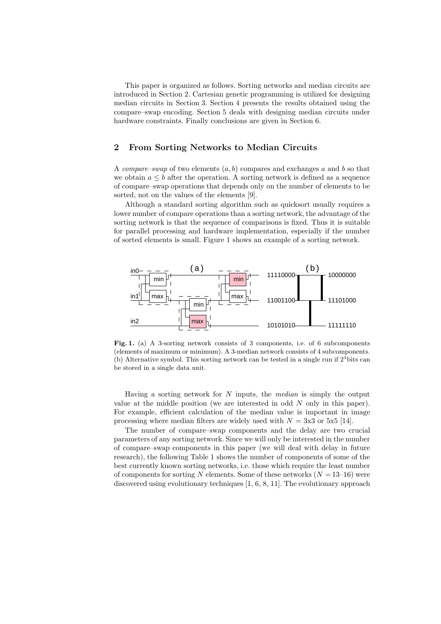This paper is organized as follows. Sorting networks and median circuits are introduced in Section 2. Cartesian genetic programming is utilized for designing median circuits in Section 3. Section 4 presents the results obtained using the compare–swap encoding. Section 5 deals with designing median circuits under hardware constraints. Finally conclusions are given in Section 6.

# 2 From Sorting Networks to Median Circuits

A compare–swap of two elements  $(a, b)$  compares and exchanges a and b so that we obtain  $a \leq b$  after the operation. A sorting network is defined as a sequence of compare–swap operations that depends only on the number of elements to be sorted, not on the values of the elements [9].

Although a standard sorting algorithm such as quicksort usually requires a lower number of compare operations than a sorting network, the advantage of the sorting network is that the sequence of comparisons is fixed. Thus it is suitable for parallel processing and hardware implementation, especially if the number of sorted elements is small. Figure 1 shows an example of a sorting network.



Fig. 1. (a) A 3-sorting network consists of 3 components, i.e. of 6 subcomponents (elements of maximum or minimum). A 3-median network consists of 4 subcomponents. (b) Alternative symbol. This sorting network can be tested in a single run if  $2^3$  bits can be stored in a single data unit.

Having a sorting network for  $N$  inputs, the *median* is simply the output value at the middle position (we are interested in odd  $N$  only in this paper). For example, efficient calculation of the median value is important in image processing where median filters are widely used with  $N = 3x3$  or  $5x5$  [14].

The number of compare–swap components and the delay are two crucial parameters of any sorting network. Since we will only be interested in the number of compare–swap components in this paper (we will deal with delay in future research), the following Table 1 shows the number of components of some of the best currently known sorting networks, i.e. those which require the least number of components for sorting N elements. Some of these networks  $(N = 13-16)$  were discovered using evolutionary techniques [1, 6, 8, 11]. The evolutionary approach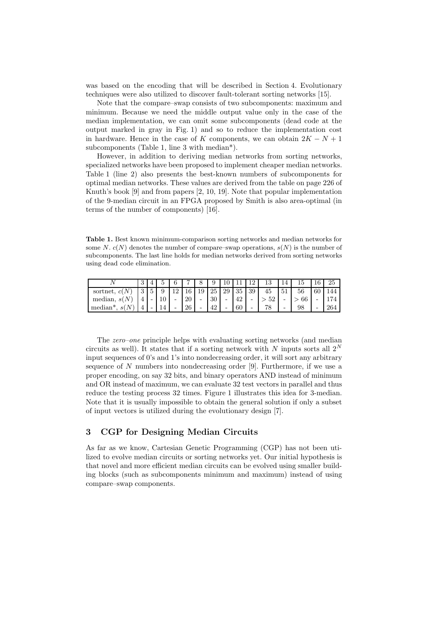was based on the encoding that will be described in Section 4. Evolutionary techniques were also utilized to discover fault-tolerant sorting networks [15].

Note that the compare–swap consists of two subcomponents: maximum and minimum. Because we need the middle output value only in the case of the median implementation, we can omit some subcomponents (dead code at the output marked in gray in Fig. 1) and so to reduce the implementation cost in hardware. Hence in the case of K components, we can obtain  $2K - N + 1$ subcomponents (Table 1, line 3 with median\*).

However, in addition to deriving median networks from sorting networks, specialized networks have been proposed to implement cheaper median networks. Table 1 (line 2) also presents the best-known numbers of subcomponents for optimal median networks. These values are derived from the table on page 226 of Knuth's book [9] and from papers [2, 10, 19]. Note that popular implementation of the 9-median circuit in an FPGA proposed by Smith is also area-optimal (in terms of the number of components) [16].

Table 1. Best known minimum-comparison sorting networks and median networks for some N.  $c(N)$  denotes the number of compare–swap operations,  $s(N)$  is the number of subcomponents. The last line holds for median networks derived from sorting networks using dead code elimination.

|                                  | ω |    | 6   |            |                 |    |    |    |                          | ΤĐ | 14 |    | 16 | 25  |
|----------------------------------|---|----|-----|------------|-----------------|----|----|----|--------------------------|----|----|----|----|-----|
| sortnet, c                       |   |    | م ا | $\epsilon$ | 19 <sup>°</sup> | 25 | 29 | 35 | 39                       | 45 | 51 |    | 60 |     |
| median, $s(N)$                   |   | 10 | -   | 20         | -               | 30 | -  | 42 | $\overline{\phantom{0}}$ | 52 | -  | 66 |    |     |
| N<br>median <sup>*</sup><br>-S ( |   | 14 | -   | 26         | -               | 19 | -  | 60 | -                        | 78 | -  | 98 | -  | 264 |

The zero–one principle helps with evaluating sorting networks (and median circuits as well). It states that if a sorting network with N inputs sorts all  $2^N$ input sequences of 0's and 1's into nondecreasing order, it will sort any arbitrary sequence of  $N$  numbers into nondecreasing order [9]. Furthermore, if we use a proper encoding, on say 32 bits, and binary operators AND instead of minimum and OR instead of maximum, we can evaluate 32 test vectors in parallel and thus reduce the testing process 32 times. Figure 1 illustrates this idea for 3-median. Note that it is usually impossible to obtain the general solution if only a subset of input vectors is utilized during the evolutionary design [7].

# 3 CGP for Designing Median Circuits

As far as we know, Cartesian Genetic Programming (CGP) has not been utilized to evolve median circuits or sorting networks yet. Our initial hypothesis is that novel and more efficient median circuits can be evolved using smaller building blocks (such as subcomponents minimum and maximum) instead of using compare–swap components.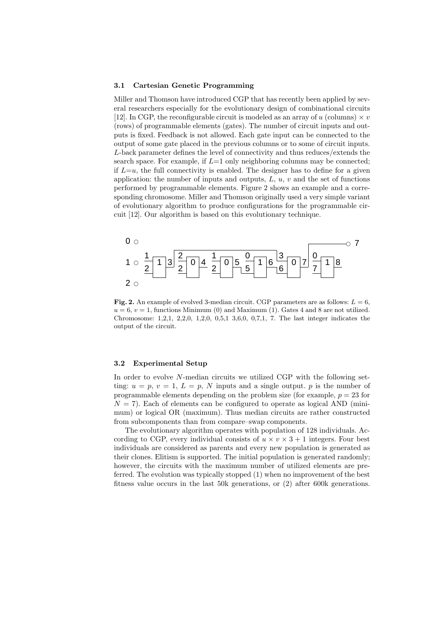#### 3.1 Cartesian Genetic Programming

Miller and Thomson have introduced CGP that has recently been applied by several researchers especially for the evolutionary design of combinational circuits [12]. In CGP, the reconfigurable circuit is modeled as an array of  $u$  (columns)  $\times v$ (rows) of programmable elements (gates). The number of circuit inputs and outputs is fixed. Feedback is not allowed. Each gate input can be connected to the output of some gate placed in the previous columns or to some of circuit inputs. L-back parameter defines the level of connectivity and thus reduces/extends the search space. For example, if  $L=1$  only neighboring columns may be connected; if  $L=u$ , the full connectivity is enabled. The designer has to define for a given application: the number of inputs and outputs,  $L, u, v$  and the set of functions performed by programmable elements. Figure 2 shows an example and a corresponding chromosome. Miller and Thomson originally used a very simple variant of evolutionary algorithm to produce configurations for the programmable circuit [12]. Our algorithm is based on this evolutionary technique.



Fig. 2. An example of evolved 3-median circuit. CGP parameters are as follows:  $L = 6$ .  $u = 6$ ,  $v = 1$ , functions Minimum (0) and Maximum (1). Gates 4 and 8 are not utilized. Chromosome: 1,2,1, 2,2,0, 1,2,0, 0,5,1 3,6,0, 0,7,1, 7. The last integer indicates the output of the circuit.

### 3.2 Experimental Setup

In order to evolve N-median circuits we utilized CGP with the following setting:  $u = p$ ,  $v = 1$ ,  $L = p$ , N inputs and a single output. p is the number of programmable elements depending on the problem size (for example,  $p = 23$  for  $N = 7$ ). Each of elements can be configured to operate as logical AND (minimum) or logical OR (maximum). Thus median circuits are rather constructed from subcomponents than from compare–swap components.

The evolutionary algorithm operates with population of 128 individuals. According to CGP, every individual consists of  $u \times v \times 3 + 1$  integers. Four best individuals are considered as parents and every new population is generated as their clones. Elitism is supported. The initial population is generated randomly; however, the circuits with the maximum number of utilized elements are preferred. The evolution was typically stopped (1) when no improvement of the best fitness value occurs in the last 50k generations, or (2) after 600k generations.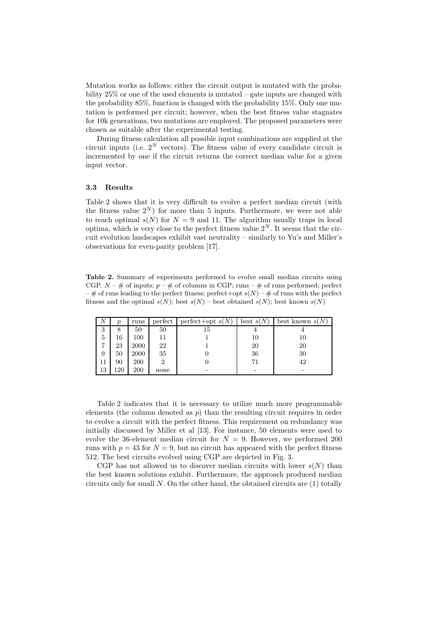Mutation works as follows: either the circuit output is mutated with the probability 25% or one of the used elements is mutated – gate inputs are changed with the probability 85%, function is changed with the probability 15%. Only one mutation is performed per circuit; however, when the best fitness value stagnates for 10k generations, two mutations are employed. The proposed parameters were chosen as suitable after the experimental testing.

During fitness calculation all possible input combinations are supplied at the circuit inputs (i.e.  $2^N$  vectors). The fitness value of every candidate circuit is incremented by one if the circuit returns the correct median value for a given input vector.

### 3.3 Results

Table 2 shows that it is very difficult to evolve a perfect median circuit (with the fitness value  $2^N$ ) for more than 5 inputs. Furthermore, we were not able to reach optimal  $s(N)$  for  $N = 9$  and 11. The algorithm usually traps in local optima, which is very close to the perfect fitness value  $2^N$ . It seems that the circuit evolution landscapes exhibit vast neutrality – similarly to Yu's and Miller's observations for even-parity problem [17].

Table 2. Summary of experiments performed to evolve small median circuits using CGP.  $N - \#$  of inputs;  $p - \#$  of columns in CGP; runs  $-\#$  of runs performed; perfect – # of runs leading to the perfect fitness; perfect+opt  $s(N)$  – # of runs with the perfect fitness and the optimal  $s(N)$ ; best  $s(N)$  – best obtained  $s(N)$ ; best known  $s(N)$ 

| A  | ŋ   | runs | perfect | $perfect+opt s(N)$ | best $s(N)$ | best known $s(N)$ |
|----|-----|------|---------|--------------------|-------------|-------------------|
| 3  | 8   | 50   | 50      | 15                 |             |                   |
| 5  | 16  | 100  | 11      |                    | 10          | 10                |
|    | 23  | 2000 | 22      |                    | 20          | 20                |
| 9  | 50  | 2000 | 35      |                    | 36          | 30                |
| 11 | 90  | 200  | 2       |                    | 71          | 42                |
| 13 | 120 | 200  | none    |                    |             |                   |

Table 2 indicates that it is necessary to utilize much more programmable elements (the column denoted as  $p$ ) than the resulting circuit requires in order to evolve a circuit with the perfect fitness. This requirement on redundancy was initially discussed by Miller et al [13]. For instance, 50 elements were used to evolve the 36-element median circuit for  $N = 9$ . However, we performed 200 runs with  $p = 43$  for  $N = 9$ , but no circuit has appeared with the perfect fitness 512. The best circuits evolved using CGP are depicted in Fig. 3.

CGP has not allowed us to discover median circuits with lower  $s(N)$  than the best known solutions exhibit. Furthermore, the approach produced median circuits only for small  $N$ . On the other hand, the obtained circuits are  $(1)$  totally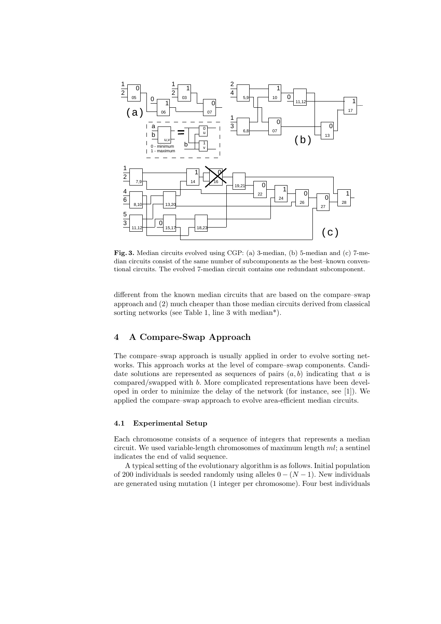

Fig. 3. Median circuits evolved using CGP: (a) 3-median, (b) 5-median and (c) 7-median circuits consist of the same number of subcomponents as the best–known conventional circuits. The evolved 7-median circuit contains one redundant subcomponent.

different from the known median circuits that are based on the compare–swap approach and (2) much cheaper than those median circuits derived from classical sorting networks (see Table 1, line 3 with median\*).

# 4 A Compare-Swap Approach

The compare–swap approach is usually applied in order to evolve sorting networks. This approach works at the level of compare–swap components. Candidate solutions are represented as sequences of pairs  $(a, b)$  indicating that a is compared/swapped with b. More complicated representations have been developed in order to minimize the delay of the network (for instance, see [1]). We applied the compare–swap approach to evolve area-efficient median circuits.

#### 4.1 Experimental Setup

Each chromosome consists of a sequence of integers that represents a median circuit. We used variable-length chromosomes of maximum length ml; a sentinel indicates the end of valid sequence.

A typical setting of the evolutionary algorithm is as follows. Initial population of 200 individuals is seeded randomly using alleles  $0 - (N - 1)$ . New individuals are generated using mutation (1 integer per chromosome). Four best individuals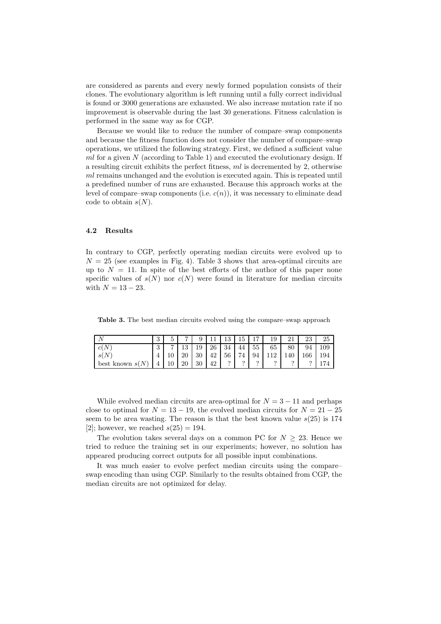are considered as parents and every newly formed population consists of their clones. The evolutionary algorithm is left running until a fully correct individual is found or 3000 generations are exhausted. We also increase mutation rate if no improvement is observable during the last 30 generations. Fitness calculation is performed in the same way as for CGP.

Because we would like to reduce the number of compare–swap components and because the fitness function does not consider the number of compare–swap operations, we utilized the following strategy. First, we defined a sufficient value  $ml$  for a given  $N$  (according to Table 1) and executed the evolutionary design. If a resulting circuit exhibits the perfect fitness,  $ml$  is decremented by 2, otherwise ml remains unchanged and the evolution is executed again. This is repeated until a predefined number of runs are exhausted. Because this approach works at the level of compare–swap components (i.e.  $c(n)$ ), it was necessary to eliminate dead code to obtain  $s(N)$ .

### 4.2 Results

In contrary to CGP, perfectly operating median circuits were evolved up to  $N = 25$  (see examples in Fig. 4). Table 3 shows that area-optimal circuits are up to  $N = 11$ . In spite of the best efforts of the author of this paper none specific values of  $s(N)$  nor  $c(N)$  were found in literature for median circuits with  $N = 13 - 23$ .

Table 3. The best median circuits evolved using the compare–swap approach

|                        | ച<br>υ   | ь<br>↩ |    |    |    | ച        | 15.      | 15       | 19       |     | າາ<br>∠.∪ | 25               |
|------------------------|----------|--------|----|----|----|----------|----------|----------|----------|-----|-----------|------------------|
| c(N)                   | $\Omega$ | −      | 19 | 19 | 26 | 34       | 44       | 55       | 65       | 80  | 94        | 109 <sup>°</sup> |
| s(N)                   |          |        | 20 | 30 | 42 | 56       | 74       | 94       |          | 140 | 166       | 194              |
| N<br>best known $s(N)$ |          | ŦΩ     | 20 | 30 | 42 | $\Omega$ | $\Omega$ | $\Omega$ | $\Omega$ |     |           |                  |

While evolved median circuits are area-optimal for  $N = 3 - 11$  and perhaps close to optimal for  $N = 13 - 19$ , the evolved median circuits for  $N = 21 - 25$ seem to be area wasting. The reason is that the best known value  $s(25)$  is 174 [2]; however, we reached  $s(25) = 194$ .

The evolution takes several days on a common PC for  $N > 23$ . Hence we tried to reduce the training set in our experiments; however, no solution has appeared producing correct outputs for all possible input combinations.

It was much easier to evolve perfect median circuits using the compare– swap encoding than using CGP. Similarly to the results obtained from CGP, the median circuits are not optimized for delay.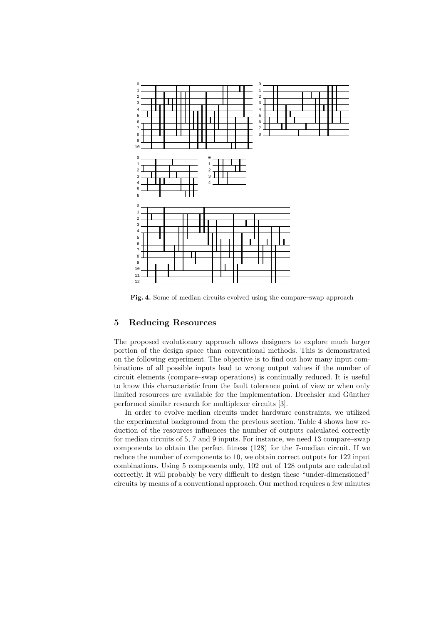

Fig. 4. Some of median circuits evolved using the compare–swap approach

# Reducing Resources

The proposed evolutionary approach allows designers to explore much larger portion of the design space than conventional methods. This is demonstrated on the following experiment. The objective is to find out how many input combinations of all possible inputs lead to wrong output values if the number of circuit elements (compare–swap operations) is continually reduced. It is useful to know this characteristic from the fault tolerance point of view or when only limited resources are available for the implementation. Drechsler and Günther performed similar research for multiplexer circuits [3].

In order to evolve median circuits under hardware constraints, we utilized the experimental background from the previous section. Table 4 shows how reduction of the resources influences the number of outputs calculated correctly for median circuits of 5, 7 and 9 inputs. For instance, we need 13 compare–swap components to obtain the perfect fitness (128) for the 7-median circuit. If we reduce the number of components to 10, we obtain correct outputs for 122 input combinations. Using 5 components only, 102 out of 128 outputs are calculated correctly. It will probably be very difficult to design these "under-dimensioned" circuits by means of a conventional approach. Our method requires a few minutes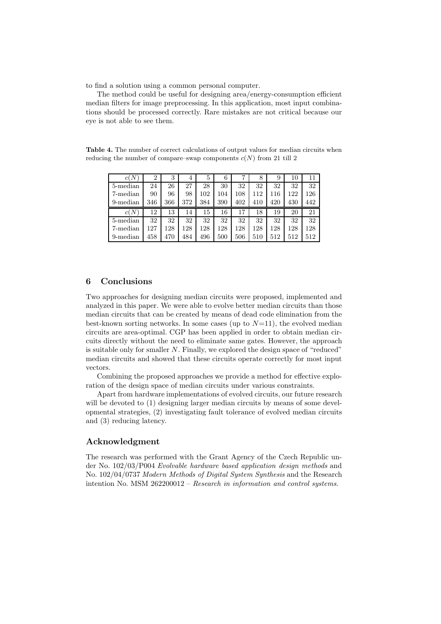to find a solution using a common personal computer.

The method could be useful for designing area/energy-consumption efficient median filters for image preprocessing. In this application, most input combinations should be processed correctly. Rare mistakes are not critical because our eye is not able to see them.

Table 4. The number of correct calculations of output values for median circuits when reducing the number of compare–swap components  $c(N)$  from 21 till 2

| c(N)     | 2   | 3   | 4   | 5   | 6   |     | 8   | 9   | 10  | 11  |
|----------|-----|-----|-----|-----|-----|-----|-----|-----|-----|-----|
| 5-median | 24  | 26  | 27  | 28  | 30  | 32  | 32  | 32  | 32  | 32  |
| 7-median | 90  | 96  | 98  | 102 | 104 | 108 | 112 | 116 | 122 | 126 |
| 9-median | 346 | 366 | 372 | 384 | 390 | 402 | 410 | 420 | 430 | 442 |
| c(N)     | 12  | 13  | 14  | 15  | 16  | 17  | 18  | 19  | 20  | 21  |
| 5-median | 32  | 32  | 32  | 32  | 32  | 32  | 32  | 32  | 32  | 32  |
| 7-median | 127 | 28  | 128 | 128 | 128 | 128 | 128 | 128 | 128 | 128 |
| 9-median | 458 | 470 | 484 | 496 | 500 | 506 | 510 | 512 | 512 | 512 |

# 6 Conclusions

Two approaches for designing median circuits were proposed, implemented and analyzed in this paper. We were able to evolve better median circuits than those median circuits that can be created by means of dead code elimination from the best-known sorting networks. In some cases (up to  $N=11$ ), the evolved median circuits are area-optimal. CGP has been applied in order to obtain median circuits directly without the need to eliminate same gates. However, the approach is suitable only for smaller N. Finally, we explored the design space of "reduced" median circuits and showed that these circuits operate correctly for most input vectors.

Combining the proposed approaches we provide a method for effective exploration of the design space of median circuits under various constraints.

Apart from hardware implementations of evolved circuits, our future research will be devoted to  $(1)$  designing larger median circuits by means of some developmental strategies, (2) investigating fault tolerance of evolved median circuits and (3) reducing latency.

# Acknowledgment

The research was performed with the Grant Agency of the Czech Republic under No. 102/03/P004 Evolvable hardware based application design methods and No. 102/04/0737 Modern Methods of Digital System Synthesis and the Research intention No. MSM 262200012 – Research in information and control systems.